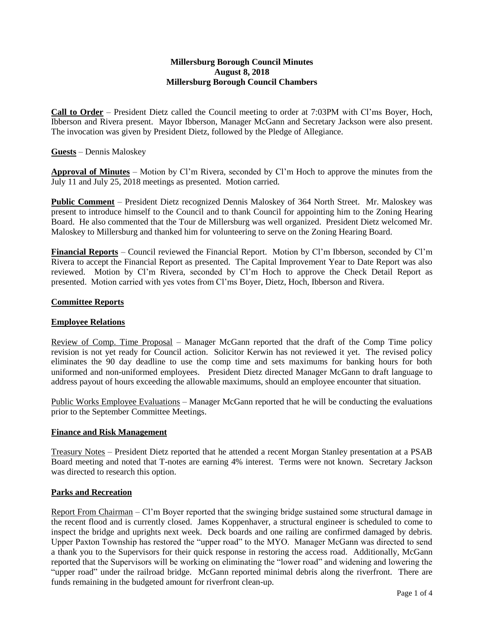#### **Millersburg Borough Council Minutes August 8, 2018 Millersburg Borough Council Chambers**

**Call to Order** – President Dietz called the Council meeting to order at 7:03PM with Cl'ms Boyer, Hoch, Ibberson and Rivera present. Mayor Ibberson, Manager McGann and Secretary Jackson were also present. The invocation was given by President Dietz, followed by the Pledge of Allegiance.

#### **Guests** – Dennis Maloskey

**Approval of Minutes** – Motion by Cl'm Rivera, seconded by Cl'm Hoch to approve the minutes from the July 11 and July 25, 2018 meetings as presented. Motion carried.

**Public Comment** – President Dietz recognized Dennis Maloskey of 364 North Street. Mr. Maloskey was present to introduce himself to the Council and to thank Council for appointing him to the Zoning Hearing Board. He also commented that the Tour de Millersburg was well organized. President Dietz welcomed Mr. Maloskey to Millersburg and thanked him for volunteering to serve on the Zoning Hearing Board.

**Financial Reports** – Council reviewed the Financial Report. Motion by Cl'm Ibberson, seconded by Cl'm Rivera to accept the Financial Report as presented. The Capital Improvement Year to Date Report was also reviewed. Motion by Cl'm Rivera, seconded by Cl'm Hoch to approve the Check Detail Report as presented. Motion carried with yes votes from Cl'ms Boyer, Dietz, Hoch, Ibberson and Rivera.

#### **Committee Reports**

#### **Employee Relations**

Review of Comp. Time Proposal – Manager McGann reported that the draft of the Comp Time policy revision is not yet ready for Council action. Solicitor Kerwin has not reviewed it yet. The revised policy eliminates the 90 day deadline to use the comp time and sets maximums for banking hours for both uniformed and non-uniformed employees. President Dietz directed Manager McGann to draft language to address payout of hours exceeding the allowable maximums, should an employee encounter that situation.

Public Works Employee Evaluations – Manager McGann reported that he will be conducting the evaluations prior to the September Committee Meetings.

#### **Finance and Risk Management**

Treasury Notes – President Dietz reported that he attended a recent Morgan Stanley presentation at a PSAB Board meeting and noted that T-notes are earning 4% interest. Terms were not known. Secretary Jackson was directed to research this option.

#### **Parks and Recreation**

Report From Chairman – Cl'm Boyer reported that the swinging bridge sustained some structural damage in the recent flood and is currently closed. James Koppenhaver, a structural engineer is scheduled to come to inspect the bridge and uprights next week. Deck boards and one railing are confirmed damaged by debris. Upper Paxton Township has restored the "upper road" to the MYO. Manager McGann was directed to send a thank you to the Supervisors for their quick response in restoring the access road. Additionally, McGann reported that the Supervisors will be working on eliminating the "lower road" and widening and lowering the "upper road" under the railroad bridge. McGann reported minimal debris along the riverfront. There are funds remaining in the budgeted amount for riverfront clean-up.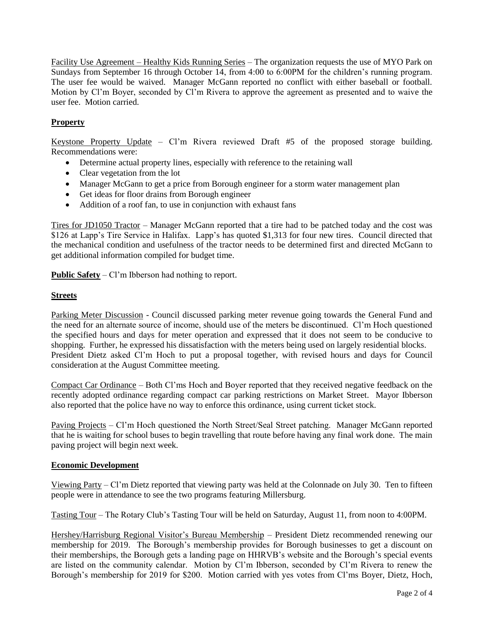Facility Use Agreement – Healthy Kids Running Series – The organization requests the use of MYO Park on Sundays from September 16 through October 14, from 4:00 to 6:00PM for the children's running program. The user fee would be waived. Manager McGann reported no conflict with either baseball or football. Motion by Cl'm Boyer, seconded by Cl'm Rivera to approve the agreement as presented and to waive the user fee. Motion carried.

# **Property**

Keystone Property Update – Cl'm Rivera reviewed Draft #5 of the proposed storage building. Recommendations were:

- Determine actual property lines, especially with reference to the retaining wall
- Clear vegetation from the lot
- Manager McGann to get a price from Borough engineer for a storm water management plan
- Get ideas for floor drains from Borough engineer
- Addition of a roof fan, to use in conjunction with exhaust fans

Tires for JD1050 Tractor – Manager McGann reported that a tire had to be patched today and the cost was \$126 at Lapp's Tire Service in Halifax. Lapp's has quoted \$1,313 for four new tires. Council directed that the mechanical condition and usefulness of the tractor needs to be determined first and directed McGann to get additional information compiled for budget time.

**Public Safety** – Cl'm Ibberson had nothing to report.

#### **Streets**

Parking Meter Discussion - Council discussed parking meter revenue going towards the General Fund and the need for an alternate source of income, should use of the meters be discontinued. Cl'm Hoch questioned the specified hours and days for meter operation and expressed that it does not seem to be conducive to shopping. Further, he expressed his dissatisfaction with the meters being used on largely residential blocks. President Dietz asked Cl'm Hoch to put a proposal together, with revised hours and days for Council consideration at the August Committee meeting.

Compact Car Ordinance – Both Cl'ms Hoch and Boyer reported that they received negative feedback on the recently adopted ordinance regarding compact car parking restrictions on Market Street. Mayor Ibberson also reported that the police have no way to enforce this ordinance, using current ticket stock.

Paving Projects – Cl'm Hoch questioned the North Street/Seal Street patching. Manager McGann reported that he is waiting for school buses to begin travelling that route before having any final work done. The main paving project will begin next week.

#### **Economic Development**

Viewing Party – Cl'm Dietz reported that viewing party was held at the Colonnade on July 30. Ten to fifteen people were in attendance to see the two programs featuring Millersburg.

Tasting Tour – The Rotary Club's Tasting Tour will be held on Saturday, August 11, from noon to 4:00PM.

Hershey/Harrisburg Regional Visitor's Bureau Membership – President Dietz recommended renewing our membership for 2019. The Borough's membership provides for Borough businesses to get a discount on their memberships, the Borough gets a landing page on HHRVB's website and the Borough's special events are listed on the community calendar. Motion by Cl'm Ibberson, seconded by Cl'm Rivera to renew the Borough's membership for 2019 for \$200. Motion carried with yes votes from Cl'ms Boyer, Dietz, Hoch,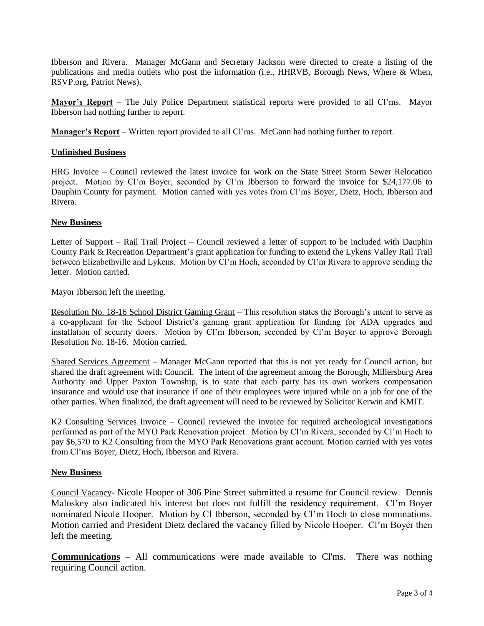Ibberson and Rivera. Manager McGann and Secretary Jackson were directed to create a listing of the publications and media outlets who post the information (i.e., HHRVB, Borough News, Where & When, RSVP.org, Patriot News).

**Mayor's Report –** The July Police Department statistical reports were provided to all Cl'ms. Mayor Ibberson had nothing further to report.

**Manager's Report** – Written report provided to all Cl'ms. McGann had nothing further to report.

### **Unfinished Business**

HRG Invoice – Council reviewed the latest invoice for work on the State Street Storm Sewer Relocation project. Motion by Cl'm Boyer, seconded by Cl'm Ibberson to forward the invoice for \$24,177.06 to Dauphin County for payment. Motion carried with yes votes from Cl'ms Boyer, Dietz, Hoch, Ibberson and Rivera.

#### **New Business**

Letter of Support – Rail Trail Project – Council reviewed a letter of support to be included with Dauphin County Park & Recreation Department's grant application for funding to extend the Lykens Valley Rail Trail between Elizabethville and Lykens. Motion by Cl'm Hoch, seconded by Cl'm Rivera to approve sending the letter. Motion carried.

Mayor Ibberson left the meeting.

Resolution No. 18-16 School District Gaming Grant – This resolution states the Borough's intent to serve as a co-applicant for the School District's gaming grant application for funding for ADA upgrades and installation of security doors. Motion by Cl'm Ibberson, seconded by Cl'm Boyer to approve Borough Resolution No. 18-16. Motion carried.

Shared Services Agreement – Manager McGann reported that this is not yet ready for Council action, but shared the draft agreement with Council. The intent of the agreement among the Borough, Millersburg Area Authority and Upper Paxton Township, is to state that each party has its own workers compensation insurance and would use that insurance if one of their employees were injured while on a job for one of the other parties. When finalized, the draft agreement will need to be reviewed by Solicitor Kerwin and KMIT.

 $K2$  Consulting Services Invoice – Council reviewed the invoice for required archeological investigations performed as part of the MYO Park Renovation project. Motion by Cl'm Rivera, seconded by Cl'm Hoch to pay \$6,570 to K2 Consulting from the MYO Park Renovations grant account. Motion carried with yes votes from Cl'ms Boyer, Dietz, Hoch, Ibberson and Rivera.

#### **New Business**

Council Vacancy- Nicole Hooper of 306 Pine Street submitted a resume for Council review. Dennis Maloskey also indicated his interest but does not fulfill the residency requirement. Cl'm Boyer nominated Nicole Hooper. Motion by Cl Ibberson, seconded by Cl'm Hoch to close nominations. Motion carried and President Dietz declared the vacancy filled by Nicole Hooper. Cl'm Boyer then left the meeting.

**Communications** – All communications were made available to Cl'ms. There was nothing requiring Council action.